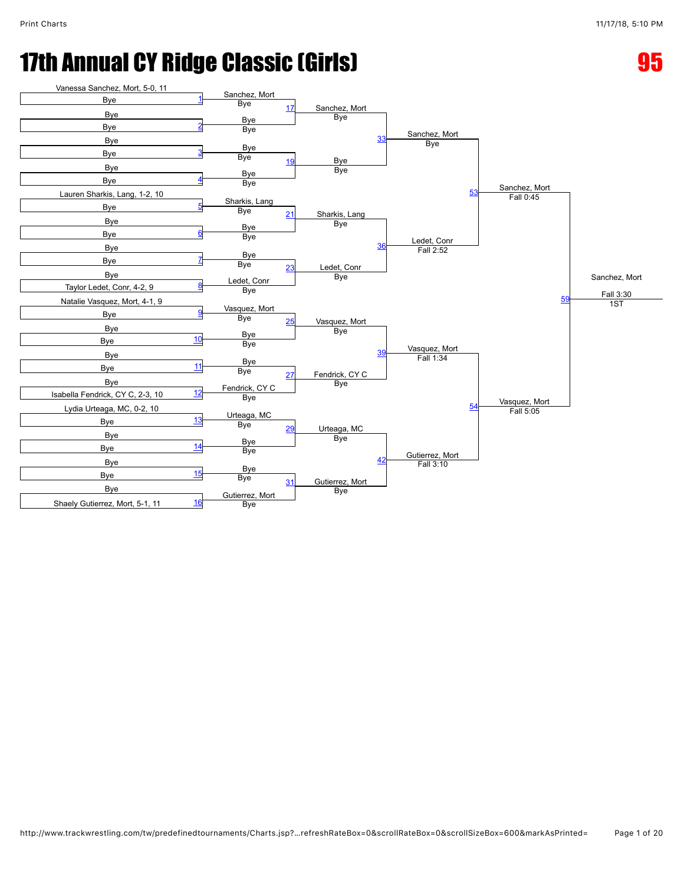#### 17th Annual CY Ridge Classic (Girls) **95 and Canadian Control**

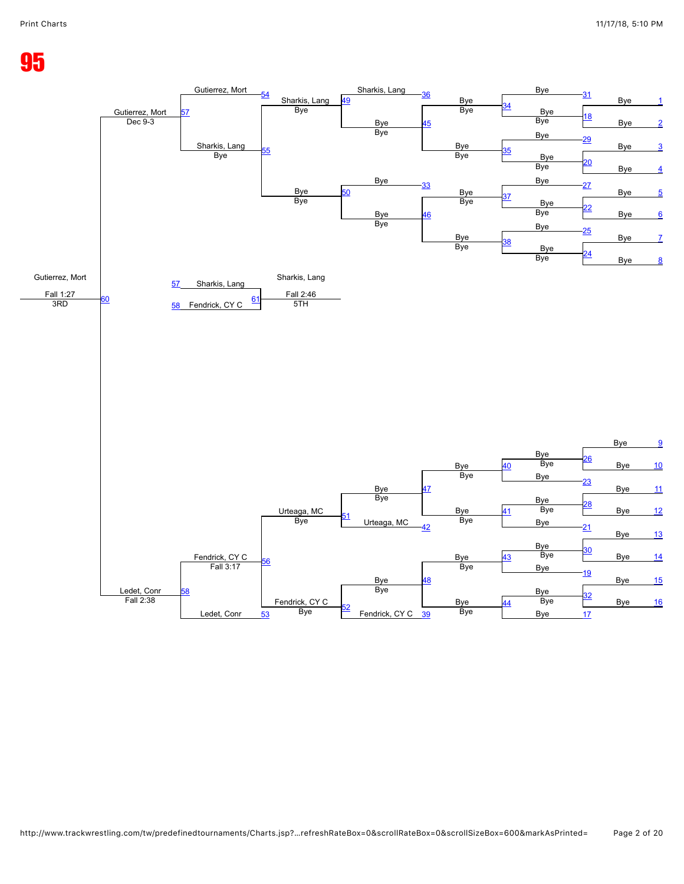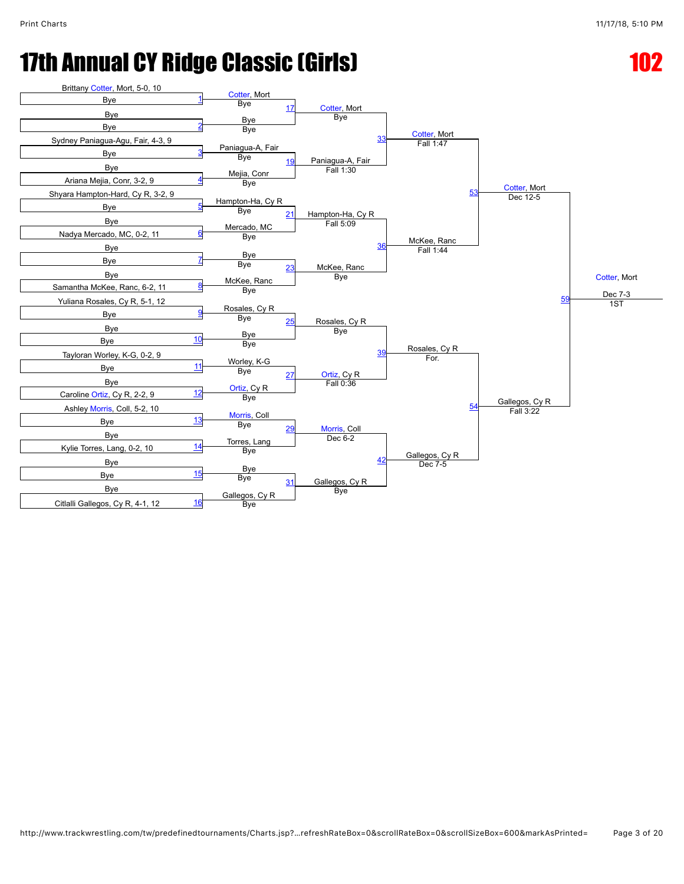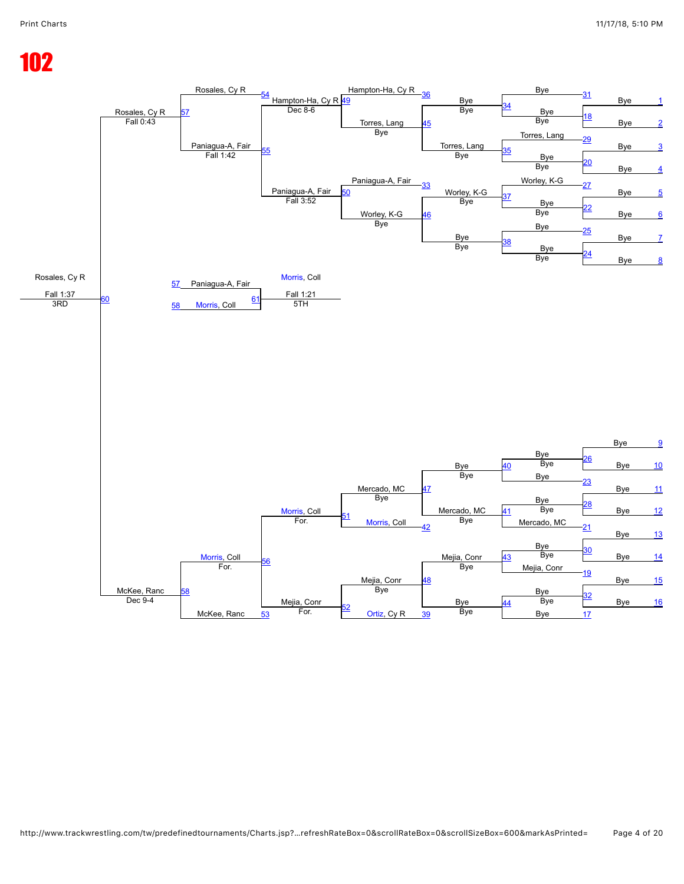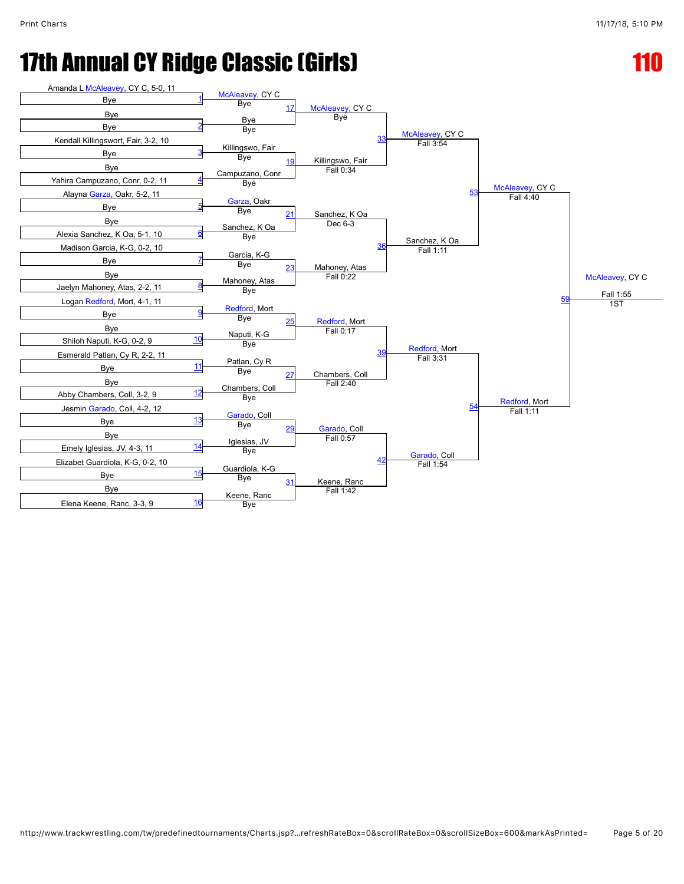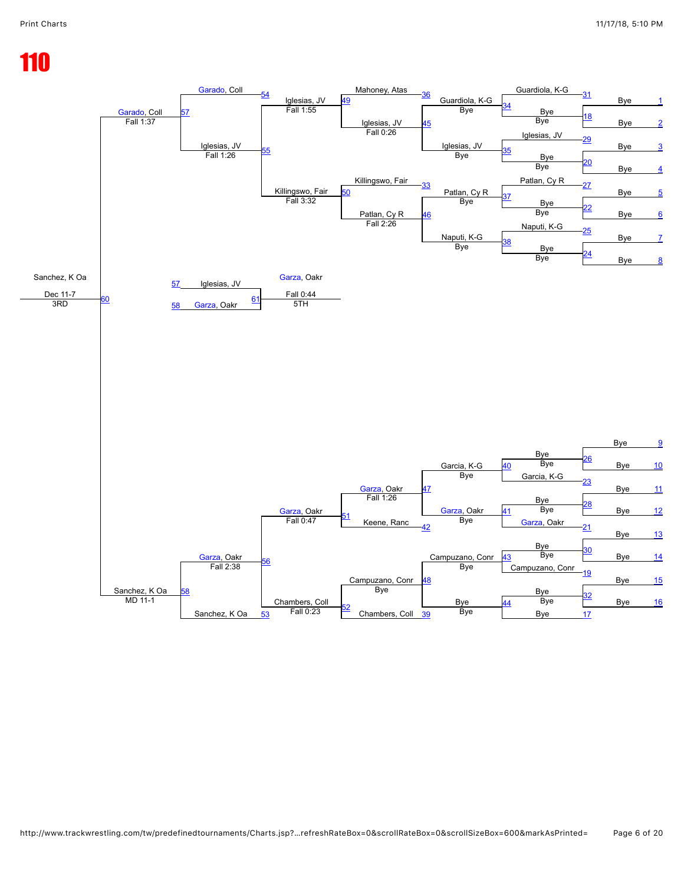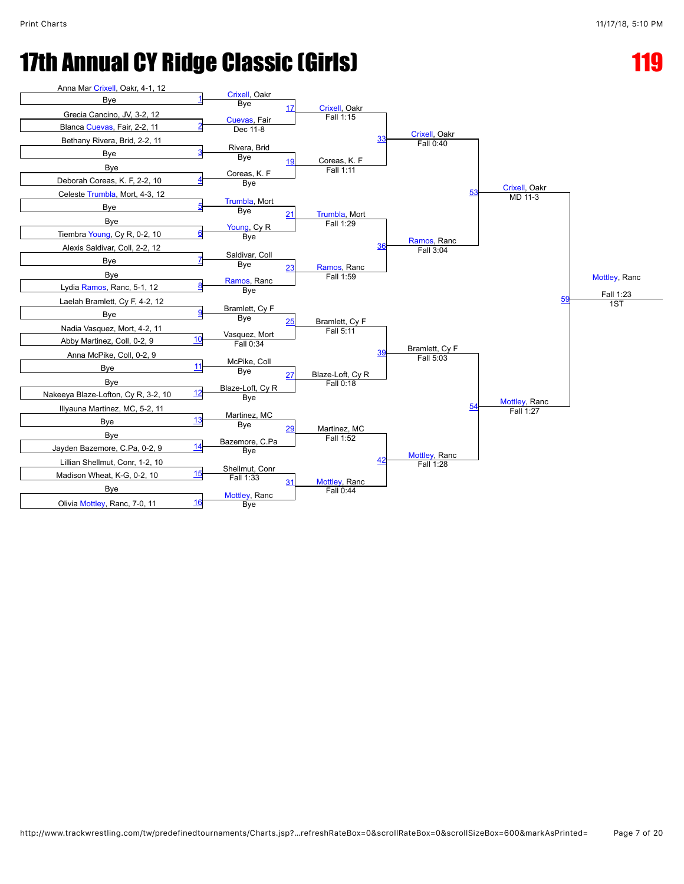

http://www.trackwrestling.com/tw/predefinedtournaments/Charts.jsp?…refreshRateBox=0&scrollRateBox=0&scrollSizeBox=600&markAsPrinted= Page 7 of 20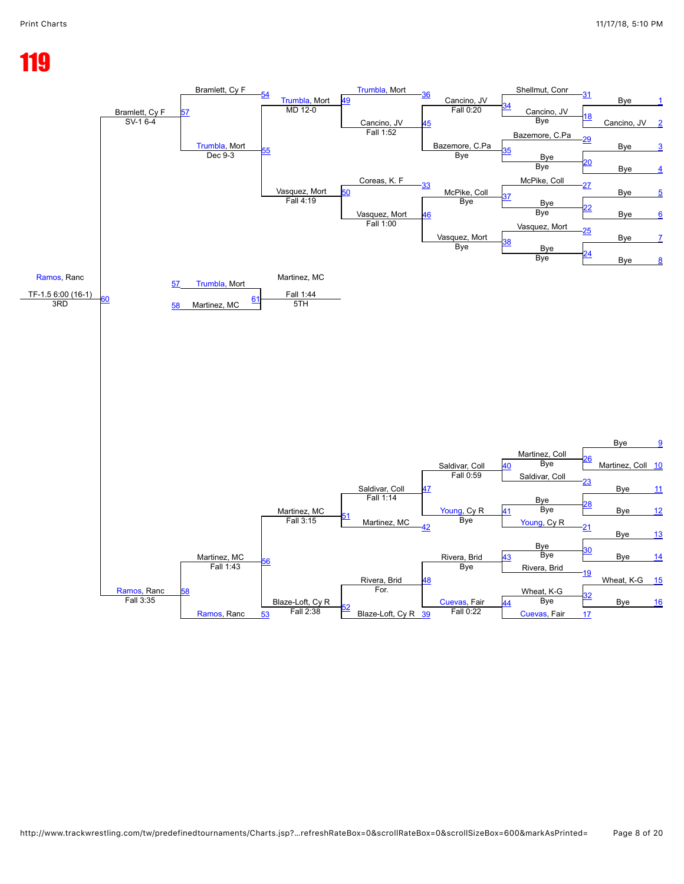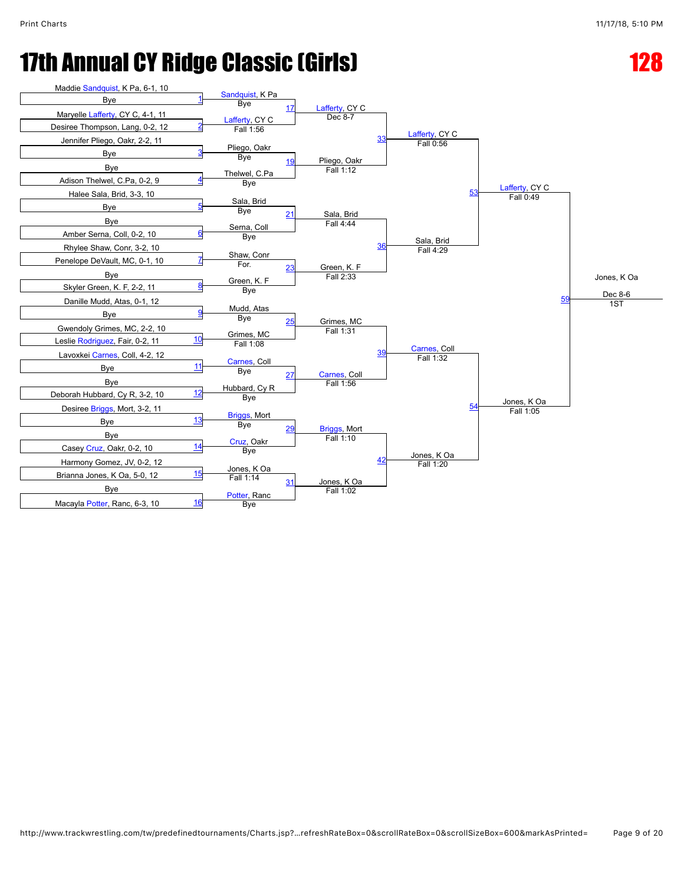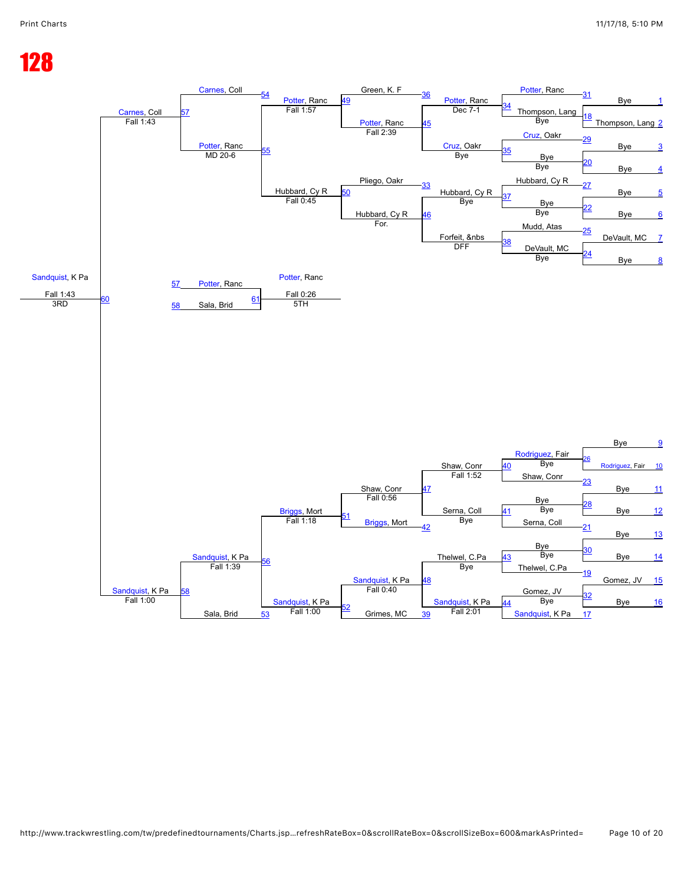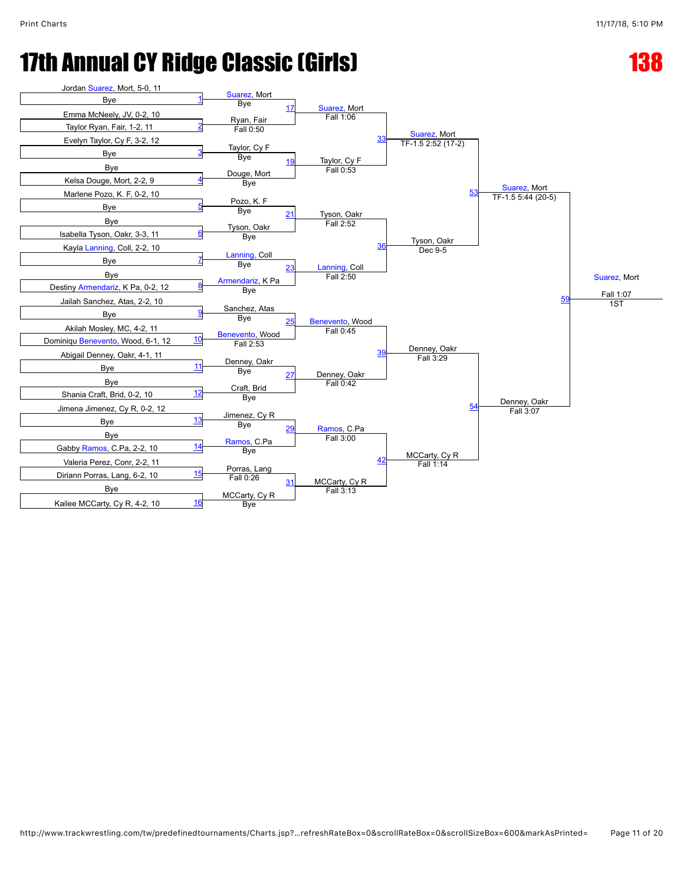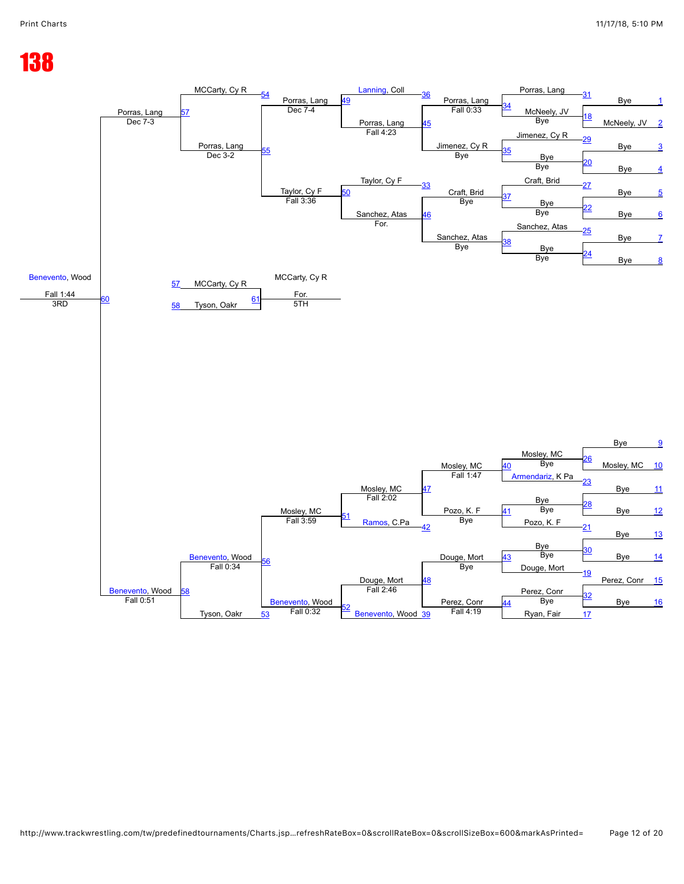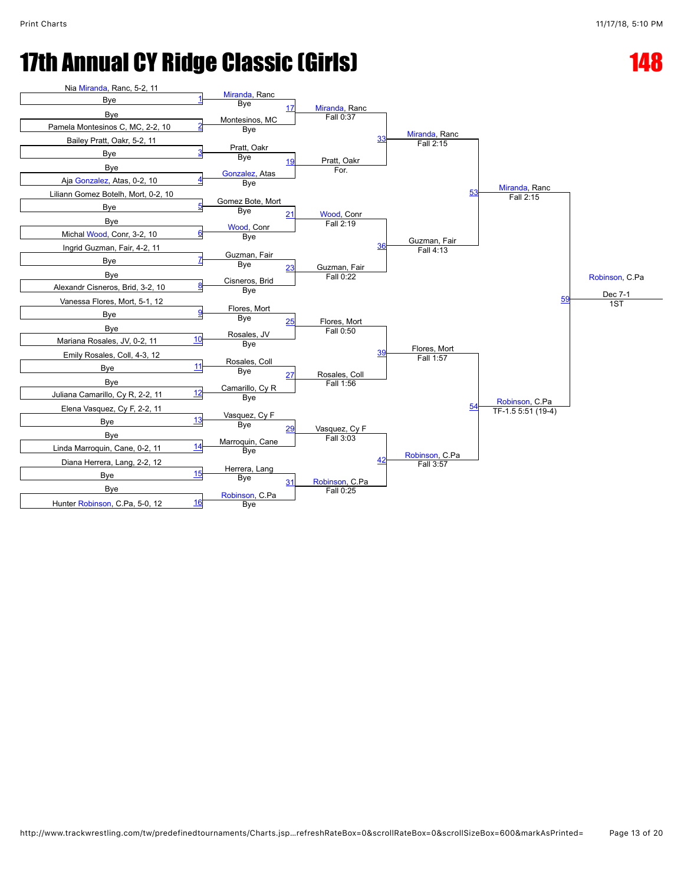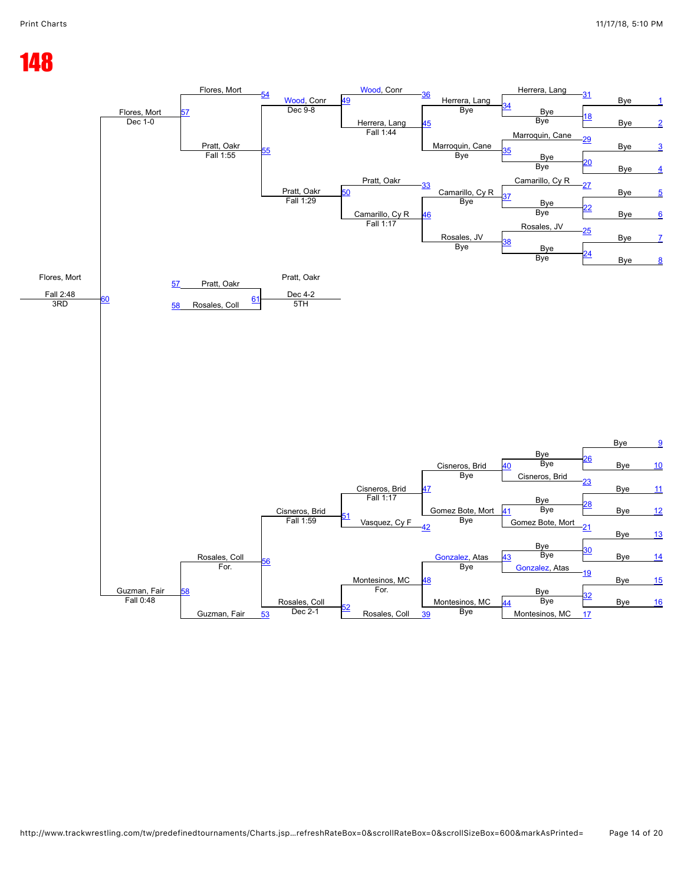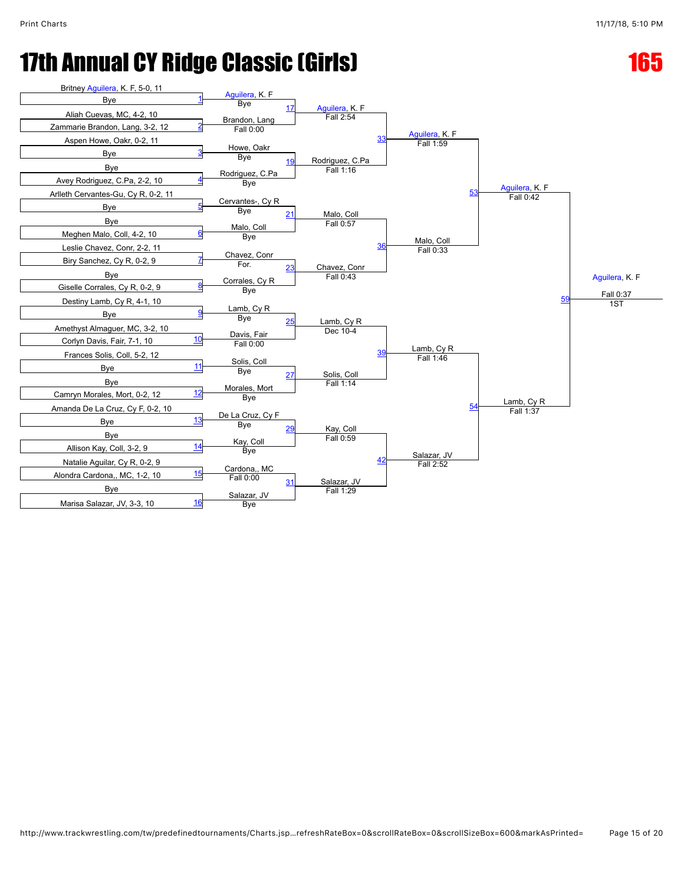#### **17th Annual CY Ridge Classic (Girls)** 17th Annual CY Ridge Classic (Girls)

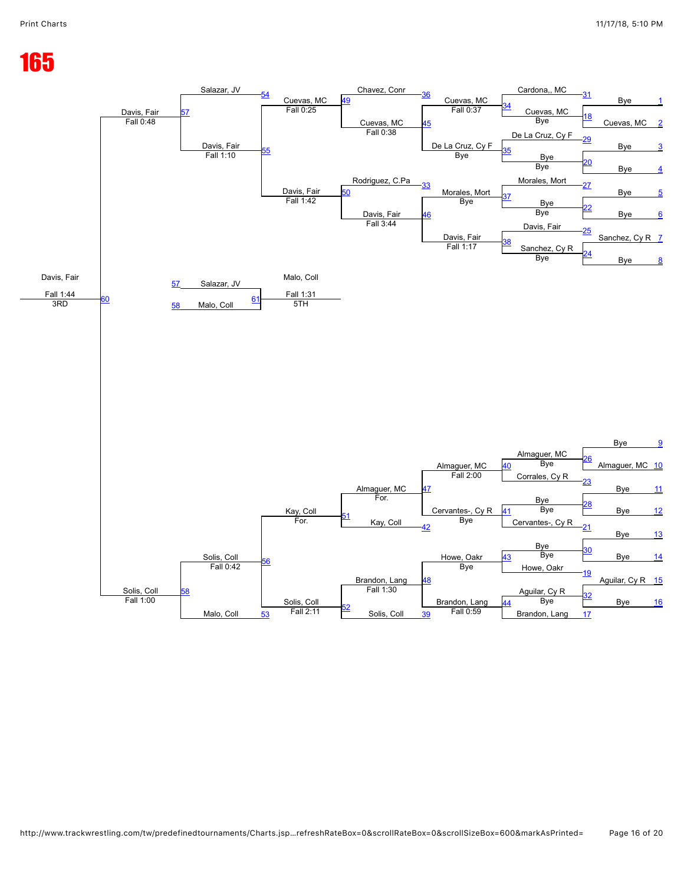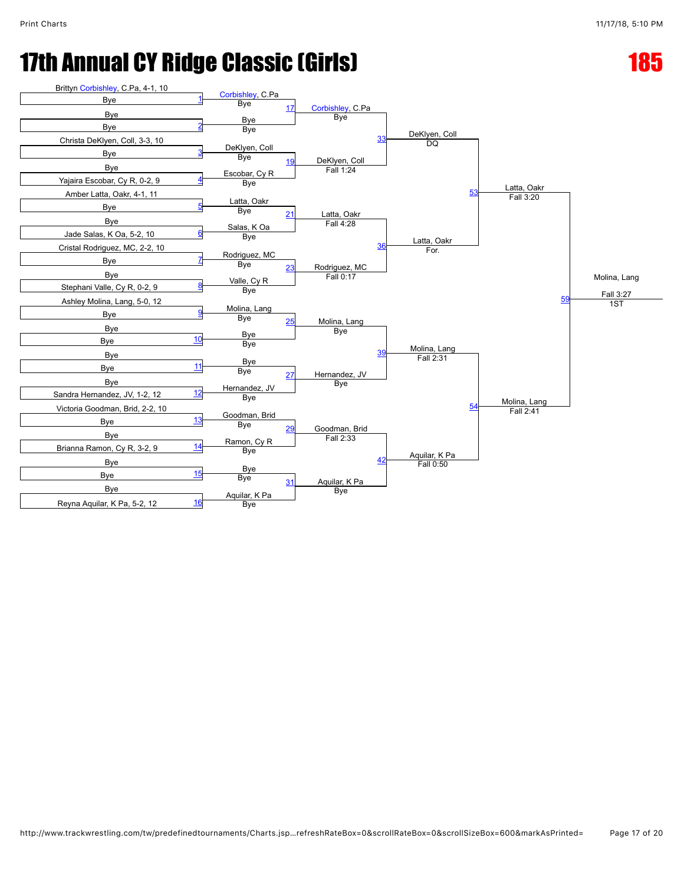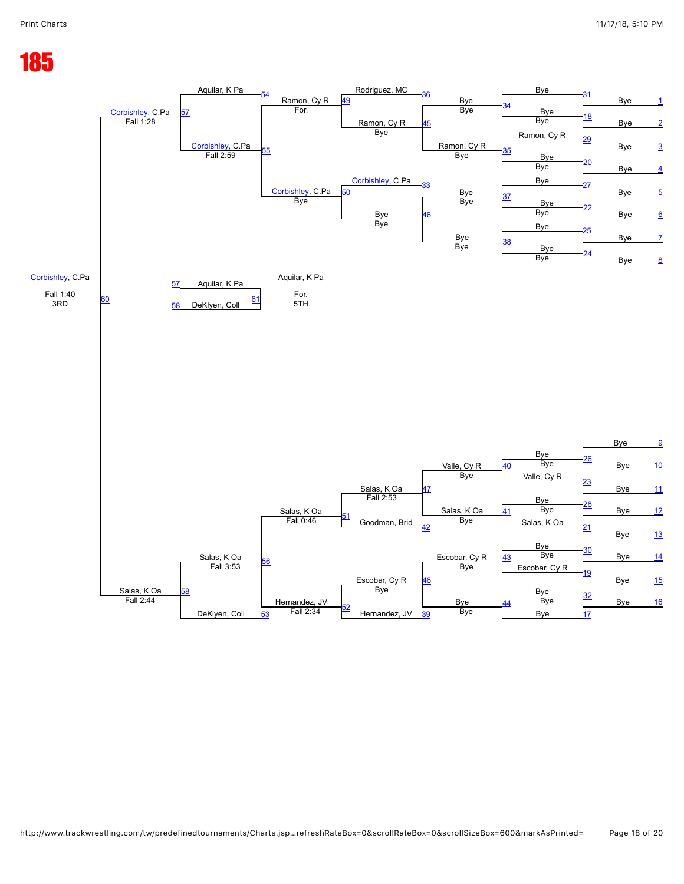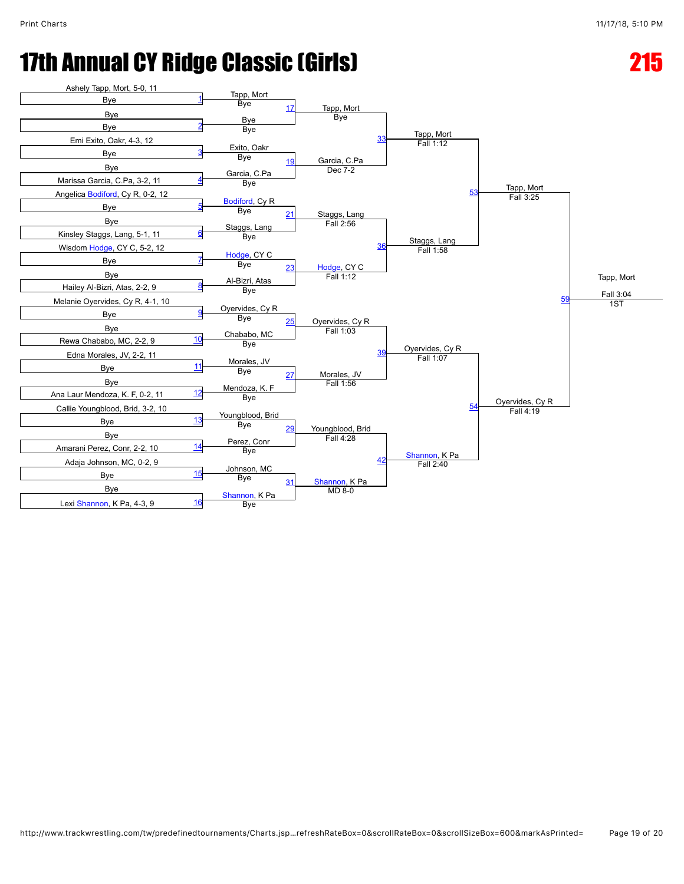